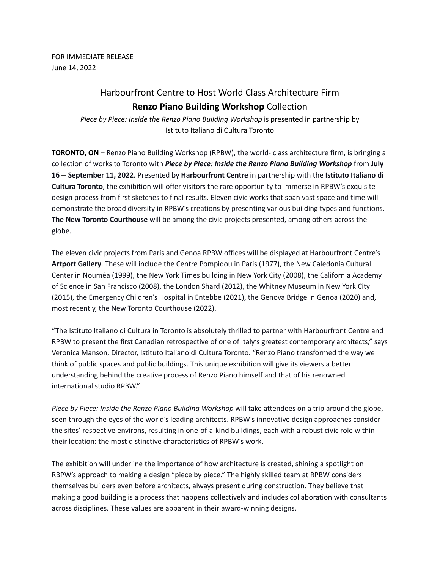FOR IMMEDIATE RELEASE June 14, 2022

## Harbourfront Centre to Host World Class Architecture Firm **Renzo Piano Building Workshop** Collection

*Piece by Piece: Inside the Renzo Piano Building Workshop* is presented in partnership by Istituto Italiano di Cultura Toronto

**TORONTO, ON** – Renzo Piano Building Workshop (RPBW), the world- class architecture firm, is bringing a collection of works to Toronto with *Piece by Piece: Inside the Renzo Piano Building Workshop* from **July 16** – **September 11, 2022**. Presented by **Harbourfront Centre** in partnership with the **Istituto Italiano di Cultura Toronto**, the exhibition will offer visitors the rare opportunity to immerse in RPBW's exquisite design process from first sketches to final results. Eleven civic works that span vast space and time will demonstrate the broad diversity in RPBW's creations by presenting various building types and functions. **The New Toronto Courthouse** will be among the civic projects presented, among others across the globe.

The eleven civic projects from Paris and Genoa RPBW offices will be displayed at Harbourfront Centre's **Artport Gallery**. These will include the Centre Pompidou in Paris (1977), the New Caledonia Cultural Center in Nouméa (1999), the New York Times building in New York City (2008), the California Academy of Science in San Francisco (2008), the London Shard (2012), the Whitney Museum in New York City (2015), the Emergency Children's Hospital in Entebbe (2021), the Genova Bridge in Genoa (2020) and, most recently, the New Toronto Courthouse (2022).

"The Istituto Italiano di Cultura in Toronto is absolutely thrilled to partner with Harbourfront Centre and RPBW to present the first Canadian retrospective of one of Italy's greatest contemporary architects," says Veronica Manson, Director, Istituto Italiano di Cultura Toronto. "Renzo Piano transformed the way we think of public spaces and public buildings. This unique exhibition will give its viewers a better understanding behind the creative process of Renzo Piano himself and that of his renowned international studio RPBW."

*Piece by Piece: Inside the Renzo Piano Building Workshop* will take attendees on a trip around the globe, seen through the eyes of the world's leading architects. RPBW's innovative design approaches consider the sites' respective environs, resulting in one-of-a-kind buildings, each with a robust civic role within their location: the most distinctive characteristics of RPBW's work.

The exhibition will underline the importance of how architecture is created, shining a spotlight on RBPW's approach to making a design "piece by piece." The highly skilled team at RPBW considers themselves builders even before architects, always present during construction. They believe that making a good building is a process that happens collectively and includes collaboration with consultants across disciplines. These values are apparent in their award-winning designs.